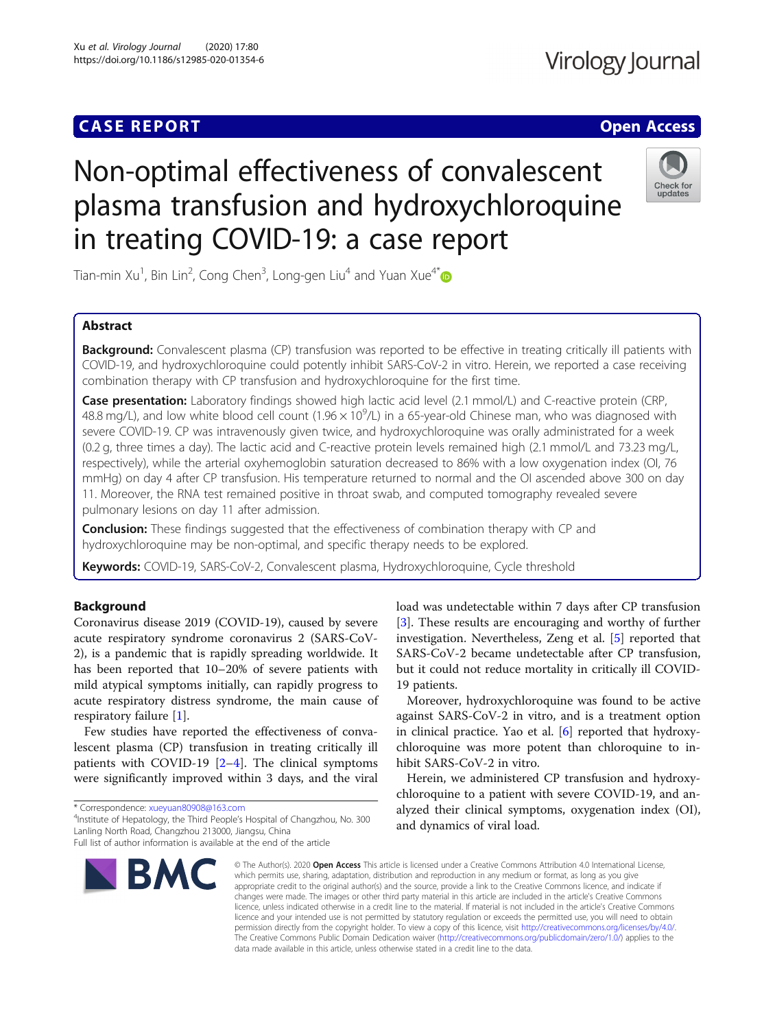### **CASE REPORT CASE ACCESS**

## Virology Journal

# Non-optimal effectiveness of convalescent plasma transfusion and hydroxychloroquine in treating COVID-19: a case report



Tian-min Xu<sup>1</sup>, Bin Lin<sup>2</sup>, Cong Chen<sup>3</sup>, Long-gen Liu<sup>4</sup> and Yuan Xue<sup>4\*</sup>

### Abstract

Background: Convalescent plasma (CP) transfusion was reported to be effective in treating critically ill patients with COVID-19, and hydroxychloroquine could potently inhibit SARS-CoV-2 in vitro. Herein, we reported a case receiving combination therapy with CP transfusion and hydroxychloroquine for the first time.

Case presentation: Laboratory findings showed high lactic acid level (2.1 mmol/L) and C-reactive protein (CRP, 48.8 mg/L), and low white blood cell count (1.96  $\times$  10<sup>9</sup>/L) in a 65-year-old Chinese man, who was diagnosed with severe COVID-19. CP was intravenously given twice, and hydroxychloroquine was orally administrated for a week (0.2 g, three times a day). The lactic acid and C-reactive protein levels remained high (2.1 mmol/L and 73.23 mg/L, respectively), while the arterial oxyhemoglobin saturation decreased to 86% with a low oxygenation index (OI, 76 mmHg) on day 4 after CP transfusion. His temperature returned to normal and the OI ascended above 300 on day 11. Moreover, the RNA test remained positive in throat swab, and computed tomography revealed severe pulmonary lesions on day 11 after admission.

**Conclusion:** These findings suggested that the effectiveness of combination therapy with CP and hydroxychloroquine may be non-optimal, and specific therapy needs to be explored.

Keywords: COVID-19, SARS-CoV-2, Convalescent plasma, Hydroxychloroquine, Cycle threshold

#### Background

Coronavirus disease 2019 (COVID-19), caused by severe acute respiratory syndrome coronavirus 2 (SARS-CoV-2), is a pandemic that is rapidly spreading worldwide. It has been reported that 10–20% of severe patients with mild atypical symptoms initially, can rapidly progress to acute respiratory distress syndrome, the main cause of respiratory failure [[1](#page-2-0)].

Few studies have reported the effectiveness of convalescent plasma (CP) transfusion in treating critically ill patients with COVID-19 [[2](#page-2-0)–[4](#page-2-0)]. The clinical symptoms were significantly improved within 3 days, and the viral

\* Correspondence: [xueyuan80908@163.com](mailto:xueyuan80908@163.com) <sup>4</sup>

<sup>4</sup>Institute of Hepatology, the Third People's Hospital of Changzhou, No. 300 Lanling North Road, Changzhou 213000, Jiangsu, China Full list of author information is available at the end of the article

load was undetectable within 7 days after CP transfusion [[3\]](#page-2-0). These results are encouraging and worthy of further investigation. Nevertheless, Zeng et al. [\[5\]](#page-2-0) reported that SARS-CoV-2 became undetectable after CP transfusion, but it could not reduce mortality in critically ill COVID-19 patients.

Moreover, hydroxychloroquine was found to be active against SARS-CoV-2 in vitro, and is a treatment option in clinical practice. Yao et al. [[6](#page-2-0)] reported that hydroxychloroquine was more potent than chloroquine to inhibit SARS-CoV-2 in vitro.

Herein, we administered CP transfusion and hydroxychloroquine to a patient with severe COVID-19, and analyzed their clinical symptoms, oxygenation index (OI), and dynamics of viral load.

© The Author(s), 2020 **Open Access** This article is licensed under a Creative Commons Attribution 4.0 International License, which permits use, sharing, adaptation, distribution and reproduction in any medium or format, as long as you give appropriate credit to the original author(s) and the source, provide a link to the Creative Commons licence, and indicate if changes were made. The images or other third party material in this article are included in the article's Creative Commons licence, unless indicated otherwise in a credit line to the material. If material is not included in the article's Creative Commons licence and your intended use is not permitted by statutory regulation or exceeds the permitted use, you will need to obtain permission directly from the copyright holder. To view a copy of this licence, visit [http://creativecommons.org/licenses/by/4.0/.](http://creativecommons.org/licenses/by/4.0/) The Creative Commons Public Domain Dedication waiver [\(http://creativecommons.org/publicdomain/zero/1.0/](http://creativecommons.org/publicdomain/zero/1.0/)) applies to the data made available in this article, unless otherwise stated in a credit line to the data.

**BMC**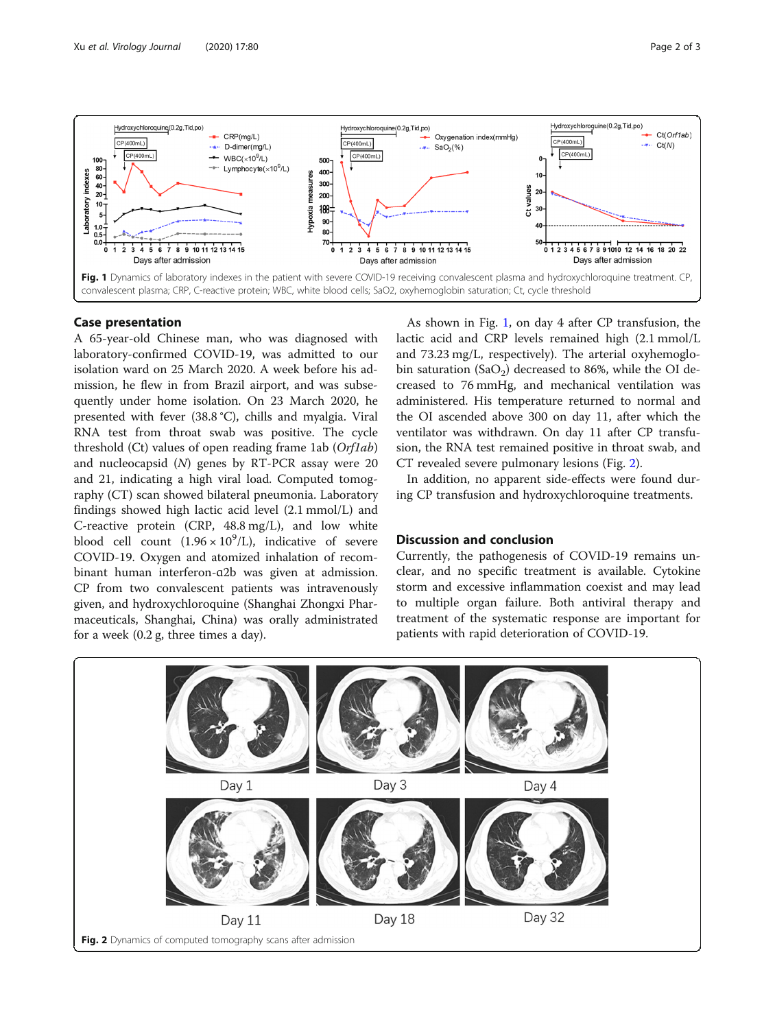

#### Case presentation

A 65-year-old Chinese man, who was diagnosed with laboratory-confirmed COVID-19, was admitted to our isolation ward on 25 March 2020. A week before his admission, he flew in from Brazil airport, and was subsequently under home isolation. On 23 March 2020, he presented with fever (38.8 °C), chills and myalgia. Viral RNA test from throat swab was positive. The cycle threshold  $(Ct)$  values of open reading frame 1ab  $(Orflab)$ and nucleocapsid (N) genes by RT-PCR assay were 20 and 21, indicating a high viral load. Computed tomography (CT) scan showed bilateral pneumonia. Laboratory findings showed high lactic acid level (2.1 mmol/L) and C-reactive protein (CRP, 48.8 mg/L), and low white blood cell count  $(1.96 \times 10^9)$ , indicative of severe COVID-19. Oxygen and atomized inhalation of recombinant human interferon-ɑ2b was given at admission. CP from two convalescent patients was intravenously given, and hydroxychloroquine (Shanghai Zhongxi Pharmaceuticals, Shanghai, China) was orally administrated for a week (0.2 g, three times a day).

As shown in Fig. 1, on day 4 after CP transfusion, the lactic acid and CRP levels remained high (2.1 mmol/L and 73.23 mg/L, respectively). The arterial oxyhemoglobin saturation (SaO<sub>2</sub>) decreased to 86%, while the OI decreased to 76 mmHg, and mechanical ventilation was administered. His temperature returned to normal and the OI ascended above 300 on day 11, after which the ventilator was withdrawn. On day 11 after CP transfusion, the RNA test remained positive in throat swab, and CT revealed severe pulmonary lesions (Fig. 2).

In addition, no apparent side-effects were found during CP transfusion and hydroxychloroquine treatments.

#### Discussion and conclusion

Currently, the pathogenesis of COVID-19 remains unclear, and no specific treatment is available. Cytokine storm and excessive inflammation coexist and may lead to multiple organ failure. Both antiviral therapy and treatment of the systematic response are important for patients with rapid deterioration of COVID-19.